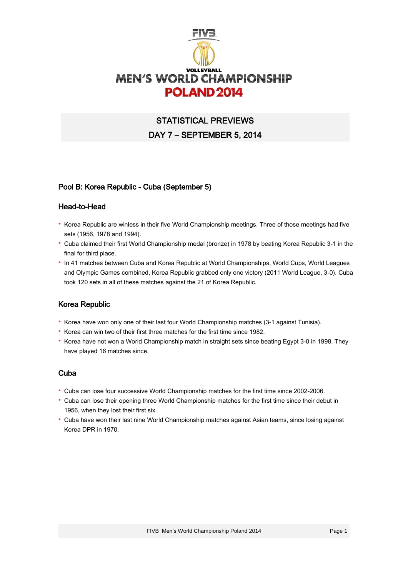

# STATISTICAL PREVIEWS DAY 7 – SEPTEMBER 5, 2014

### Pool B: Korea Republic - Cuba (September 5)

#### Head-to-Head

- · Korea Republic are winless in their five World Championship meetings. Three of those meetings had five sets (1956, 1978 and 1994).
- · Cuba claimed their first World Championship medal (bronze) in 1978 by beating Korea Republic 3-1 in the final for third place.
- · In 41 matches between Cuba and Korea Republic at World Championships, World Cups, World Leagues and Olympic Games combined, Korea Republic grabbed only one victory (2011 World League, 3-0). Cuba took 120 sets in all of these matches against the 21 of Korea Republic.

### Korea Republic

- · Korea have won only one of their last four World Championship matches (3-1 against Tunisia).
- · Korea can win two of their first three matches for the first time since 1982.
- · Korea have not won a World Championship match in straight sets since beating Egypt 3-0 in 1998. They have played 16 matches since.

### Cuba

- · Cuba can lose four successive World Championship matches for the first time since 2002-2006.
- · Cuba can lose their opening three World Championship matches for the first time since their debut in 1956, when they lost their first six.
- · Cuba have won their last nine World Championship matches against Asian teams, since losing against Korea DPR in 1970.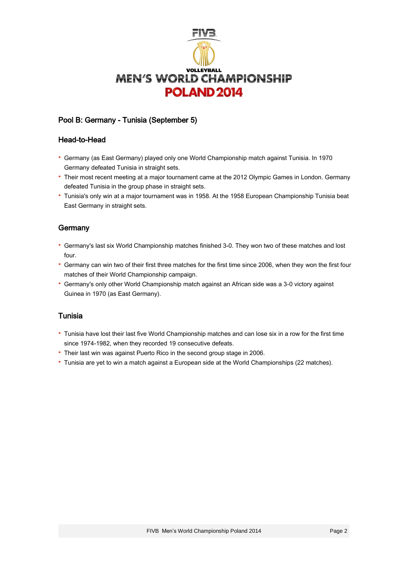

# Pool B: Germany - Tunisia (September 5)

### Head-to-Head

- · Germany (as East Germany) played only one World Championship match against Tunisia. In 1970 Germany defeated Tunisia in straight sets.
- · Their most recent meeting at a major tournament came at the 2012 Olympic Games in London. Germany defeated Tunisia in the group phase in straight sets.
- · Tunisia's only win at a major tournament was in 1958. At the 1958 European Championship Tunisia beat East Germany in straight sets.

### **Germany**

- · Germany's last six World Championship matches finished 3-0. They won two of these matches and lost four.
- · Germany can win two of their first three matches for the first time since 2006, when they won the first four matches of their World Championship campaign.
- · Germany's only other World Championship match against an African side was a 3-0 victory against Guinea in 1970 (as East Germany).

### Tunisia

- · Tunisia have lost their last five World Championship matches and can lose six in a row for the first time since 1974-1982, when they recorded 19 consecutive defeats.
- · Their last win was against Puerto Rico in the second group stage in 2006.
- · Tunisia are yet to win a match against a European side at the World Championships (22 matches).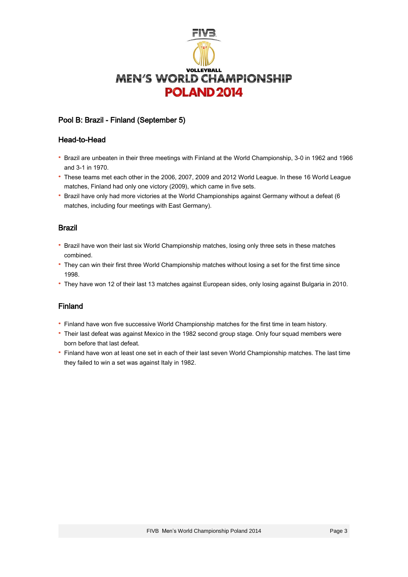

# Pool B: Brazil - Finland (September 5)

#### Head-to-Head

- · Brazil are unbeaten in their three meetings with Finland at the World Championship, 3-0 in 1962 and 1966 and 3-1 in 1970.
- · These teams met each other in the 2006, 2007, 2009 and 2012 World League. In these 16 World League matches, Finland had only one victory (2009), which came in five sets.
- · Brazil have only had more victories at the World Championships against Germany without a defeat (6 matches, including four meetings with East Germany).

### Brazil

- · Brazil have won their last six World Championship matches, losing only three sets in these matches combined.
- · They can win their first three World Championship matches without losing a set for the first time since 1998.
- · They have won 12 of their last 13 matches against European sides, only losing against Bulgaria in 2010.

### Finland

- · Finland have won five successive World Championship matches for the first time in team history.
- · Their last defeat was against Mexico in the 1982 second group stage. Only four squad members were born before that last defeat.
- · Finland have won at least one set in each of their last seven World Championship matches. The last time they failed to win a set was against Italy in 1982.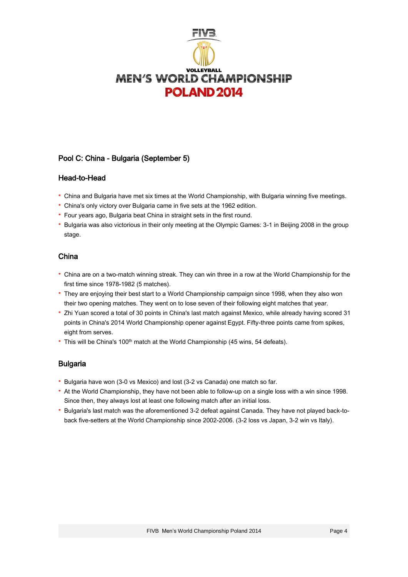

# Pool C: China - Bulgaria (September 5)

### Head-to-Head

- · China and Bulgaria have met six times at the World Championship, with Bulgaria winning five meetings.
- · China's only victory over Bulgaria came in five sets at the 1962 edition.
- · Four years ago, Bulgaria beat China in straight sets in the first round.
- · Bulgaria was also victorious in their only meeting at the Olympic Games: 3-1 in Beijing 2008 in the group stage.

### China

- · China are on a two-match winning streak. They can win three in a row at the World Championship for the first time since 1978-1982 (5 matches).
- · They are enjoying their best start to a World Championship campaign since 1998, when they also won their two opening matches. They went on to lose seven of their following eight matches that year.
- · Zhi Yuan scored a total of 30 points in China's last match against Mexico, while already having scored 31 points in China's 2014 World Championship opener against Egypt. Fifty-three points came from spikes, eight from serves.
- This will be China's 100<sup>th</sup> match at the World Championship (45 wins, 54 defeats).

# Bulgaria

- · Bulgaria have won (3-0 vs Mexico) and lost (3-2 vs Canada) one match so far.
- · At the World Championship, they have not been able to follow-up on a single loss with a win since 1998. Since then, they always lost at least one following match after an initial loss.
- · Bulgaria's last match was the aforementioned 3-2 defeat against Canada. They have not played back-toback five-setters at the World Championship since 2002-2006. (3-2 loss vs Japan, 3-2 win vs Italy).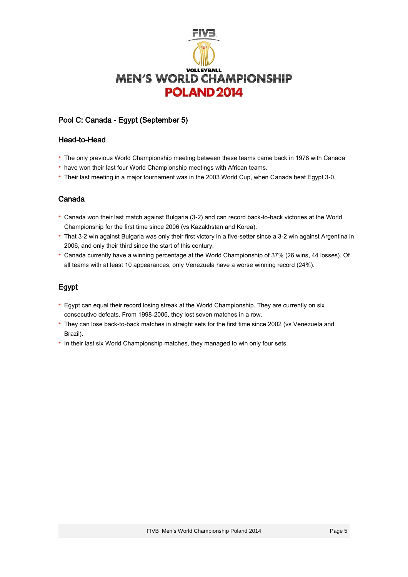

# Pool C: Canada - Egypt (September 5)

#### Head-to-Head

- · The only previous World Championship meeting between these teams came back in 1978 with Canada
- · have won their last four World Championship meetings with African teams.
- · Their last meeting in a major tournament was in the 2003 World Cup, when Canada beat Egypt 3-0.

# Canada

- · Canada won their last match against Bulgaria (3-2) and can record back-to-back victories at the World Championship for the first time since 2006 (vs Kazakhstan and Korea).
- · That 3-2 win against Bulgaria was only their first victory in a five-setter since a 3-2 win against Argentina in 2006, and only their third since the start of this century.
- · Canada currently have a winning percentage at the World Championship of 37% (26 wins, 44 losses). Of all teams with at least 10 appearances, only Venezuela have a worse winning record (24%).

# Egypt

- · Egypt can equal their record losing streak at the World Championship. They are currently on six consecutive defeats. From 1998-2006, they lost seven matches in a row.
- · They can lose back-to-back matches in straight sets for the first time since 2002 (vs Venezuela and Brazil).
- · In their last six World Championship matches, they managed to win only four sets.